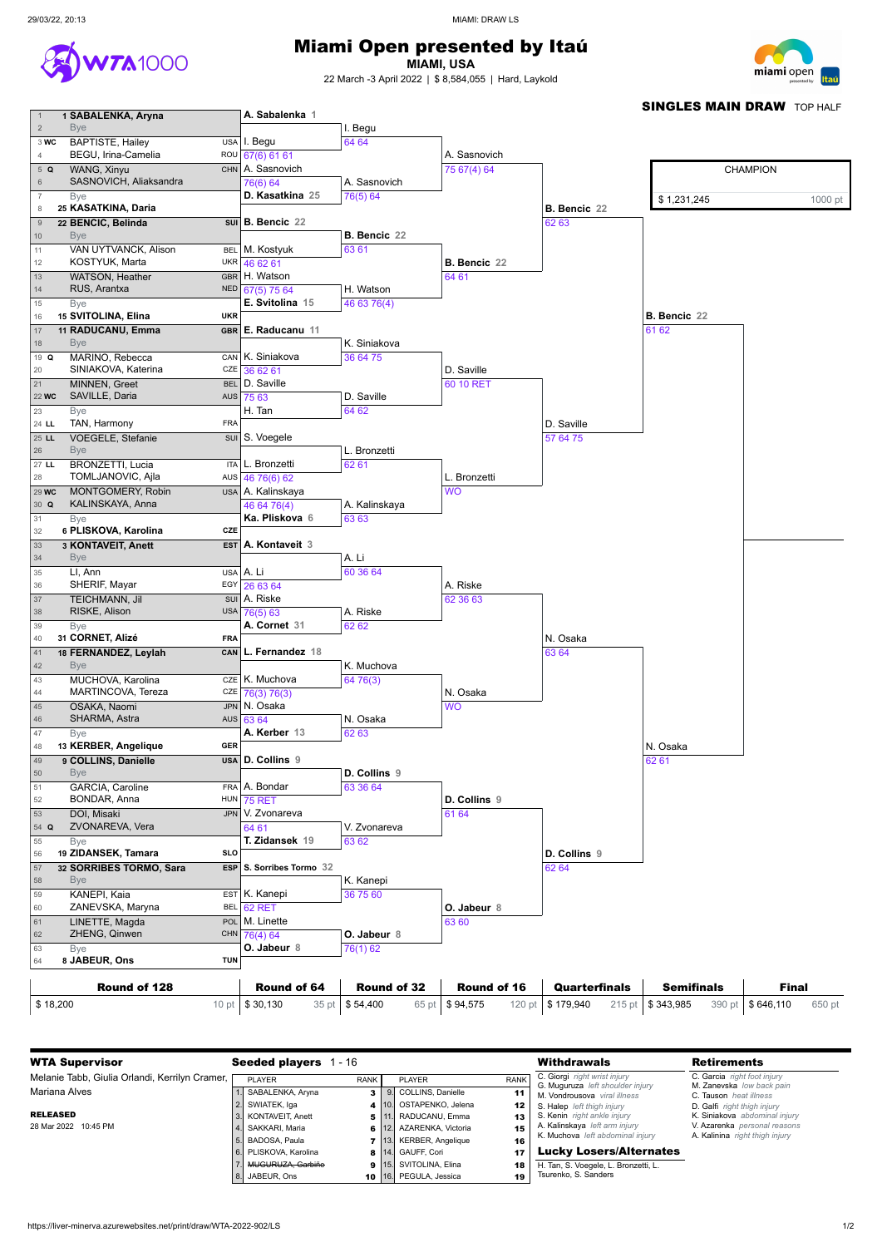

## Miami Open presented by Itaú

**MIAMI, USA**

22 March -3 April 2022 | \$ 8,584,055 | Hard, Laykold



**1 SABALENKA, Aryna**

**BAPTISTE, Hailey USA** 

**TA1000** 

Bye

Bye

Bye

Bye

Bye

Bye

Bye

Bye

Bye

Bye

Bye

Bye

Bye

Bye

Bye

ZHENG, Qinwen

CHN 76(4) 64

**A. Sabalenka**

I. Begu

I. Begu 64 64

BEGU, Irina-Camelia ROU WANG, Xinyu CHN SASNOVICH, Aliaksandra **25 KASATKINA, Daria**  $22$  **BENCIC**, Belinda VAN UYTVANCK, Alison BEL KOSTYUK, Marta **WAR** WATSON, Heather GBR RUS, Arantxa NED **15 SVITOLINA, Elina UKR 11 RADUCANU, Emma GBR Q** MARINO, Rebecca CAN SINIAKOVA, Katerina CZE MINNEN, Greet BEL 22 **wc** SAVILLE, Daria 24 LL TAN, Harmony FRA 25 LL VOEGELE, Stefanie **LL BRONZETTI, Lucia** ITA TOMLJANOVIC, Ajla AUS 29 WC MONTGOMERY, Robin USA **Q** KALINSKAYA, Anna **6 PLISKOVA, Karolina CZE 3 KONTAVEIT, Anett EST** LI. Ann USA SHERIF, Mayar **EGY** TEICHMANN, Jil SUI RISKE, Alison USA **31 CORNET, Alizé FRA 18 FERNANDEZ, Leylah CAN** MUCHOVA, Karolina CZE MARTINCOVA, Tereza CZE OSAKA, Naomi JPN SHARMA, Astra **AUS 13 KERBER, Angelique GER 9 COLLINS, Danielle USA** GARCIA, Caroline FRA BONDAR, Anna HUN DOI, Misaki **Q** ZVONAREVA, Vera **19 ZIDANSEK, Tamara SLO 32 SORRIBES TORMO, Sara ESP** KANEPI, Kaia **EST** ZANEVSKA, Maryna LINETTE, Magda 67(6) 61 61 A. Sasnovich 76(6) 64 **D. Kasatkina 25 B. Bencic 22** M. Kostyuk 46 62 61 H. Watson 67(5) 75 64 **E. Svitolina 15 E. Raducanu 11** K. Siniakova 36 62 61 D. Saville AUS 75 63 H. Tan **SUI** S. Voegele L. Bronzetti 46 76(6) 62 A. Kalinskaya 46 64 76(4) **Ka. Pliskova 6 A. Kontaveit 3** A. Li 26 63 64 A. Riske 76(5) 63 **A. Cornet 31 L. Fernandez 18** K. Muchova 76(3) 76(3) N. Osaka 63 64 **A. Kerber 13 D. Collins 9** A. Bondar 75 RET JPN V. Zvonareva 64 61 **T. Zidansek 19 S. Sorribes Tormo 32** K. Kanepi BEL 62 RET POL M. Linette A. Sasnovich 76(5) 64 **B. Bencic 22** 63 61 H. Watson 46 63 76(4) K. Siniakova 36 64 75 D. Saville 64 62 L. Bronzetti 62 61 A. Kalinskaya 63 63 A. Li 60 36 64 A. Riske 62 62 K. Muchova 64 76(3) N. Osaka 62 63 **D. Collins 9** 63 36 64 V. Zvonareva 63 62 K. Kanepi 36 75 60 A. Sasnovich 75 67(4) 64 **B. Bencic 22** 64 61 D. Saville 60 10 RET L. Bronzetti WO A. Riske 62 36 63 N. Osaka WO **D. Collins 9** 61 64 **O. Jabeur 8** 63 60 **B. Bencic 22** 62 63 D. Saville 57 64 75 N. Osaka 63 64 **D. Collins 9** 62 64 **B. Bencic 22**61 62 N. Osaka 62 61 CHAMPION \$1,231,245 1000 pt 1213141516171819202122232425262728293031323334353637383940414243444546474849505152535455565758596061626364 **1**

**SINGLES MAIN DRAW TOP HALF** 

| ZHENG, Qinwen<br>62 | <b>CHN</b> | 76(4) 64           | O. Jabeur 8        |                    |               |                   |              |  |
|---------------------|------------|--------------------|--------------------|--------------------|---------------|-------------------|--------------|--|
| <b>B</b> ve<br>63   |            | <b>O. Jabeur 8</b> | 76(1) 62           |                    |               |                   |              |  |
| 8 JABEUR, Ons<br>64 | <b>TUN</b> |                    |                    |                    |               |                   |              |  |
|                     |            |                    |                    |                    |               |                   |              |  |
|                     |            |                    |                    |                    |               |                   |              |  |
| Round of 128        |            | <b>Round of 64</b> | <b>Round of 32</b> | <b>Round of 16</b> | Quarterfinals | <b>Semifinals</b> | <b>Final</b> |  |

| <b>WTA Supervisor</b>                          | <b>Seeded players</b><br>1 - 16 |             |        |                          |             | <b>Withdrawals</b>                                               | <b>Retirements</b>                                       |
|------------------------------------------------|---------------------------------|-------------|--------|--------------------------|-------------|------------------------------------------------------------------|----------------------------------------------------------|
| Melanie Tabb, Giulia Orlandi, Kerrilyn Cramer, | PLAYER                          | <b>RANK</b> |        | <b>PLAYER</b>            | <b>RANK</b> | C. Giorgi right wrist injury<br>G. Muguruza left shoulder injury | C. Garcia right foot injury<br>M. Zanevska low back pain |
| Mariana Alves                                  | SABALENKA, Aryna                |             |        | 9. COLLINS, Danielle     | 11          | M. Vondrousova viral illness                                     | C. Tauson heat illness                                   |
|                                                | SWIATEK, Iga                    |             |        | 4 10. OSTAPENKO, Jelena  | 12          | S. Halep left thigh injury                                       | D. Galfi right thigh injury                              |
| <b>RELEASED</b>                                | 3. KONTAVEIT, Anett             |             | 5 111. | RADUCANU, Emma           | 13          | <b>S. Kenin</b> right ankle injury                               | K. Siniakova abdominal injury                            |
| 28 Mar 2022 10:45 PM                           | SAKKARI, Maria                  |             |        | 6 12. AZARENKA, Victoria | 15          | A. Kalinskaya left arm injury                                    | V. Azarenka personal reasons                             |
|                                                | 5. BADOSA, Paula                |             |        | 7 13. KERBER, Angelique  | 16          | K. Muchova left abdominal injury                                 | A. Kalinina right thigh injury                           |
|                                                | l 6. PLISKOVA. Karolina         |             |        | 8 14. GAUFF, Cori        | 17          | <b>Lucky Losers/Alternates</b>                                   |                                                          |
|                                                | MUGURUZA, Garbiñe               |             |        | 9 15. SVITOLINA, Elina   | 18          | H. Tan, S. Voegele, L. Bronzetti, L.                             |                                                          |
|                                                | 8. JABEUR, Ons                  |             |        | 10 16. PEGULA, Jessica   | 19          | Tsurenko, S. Sanders                                             |                                                          |